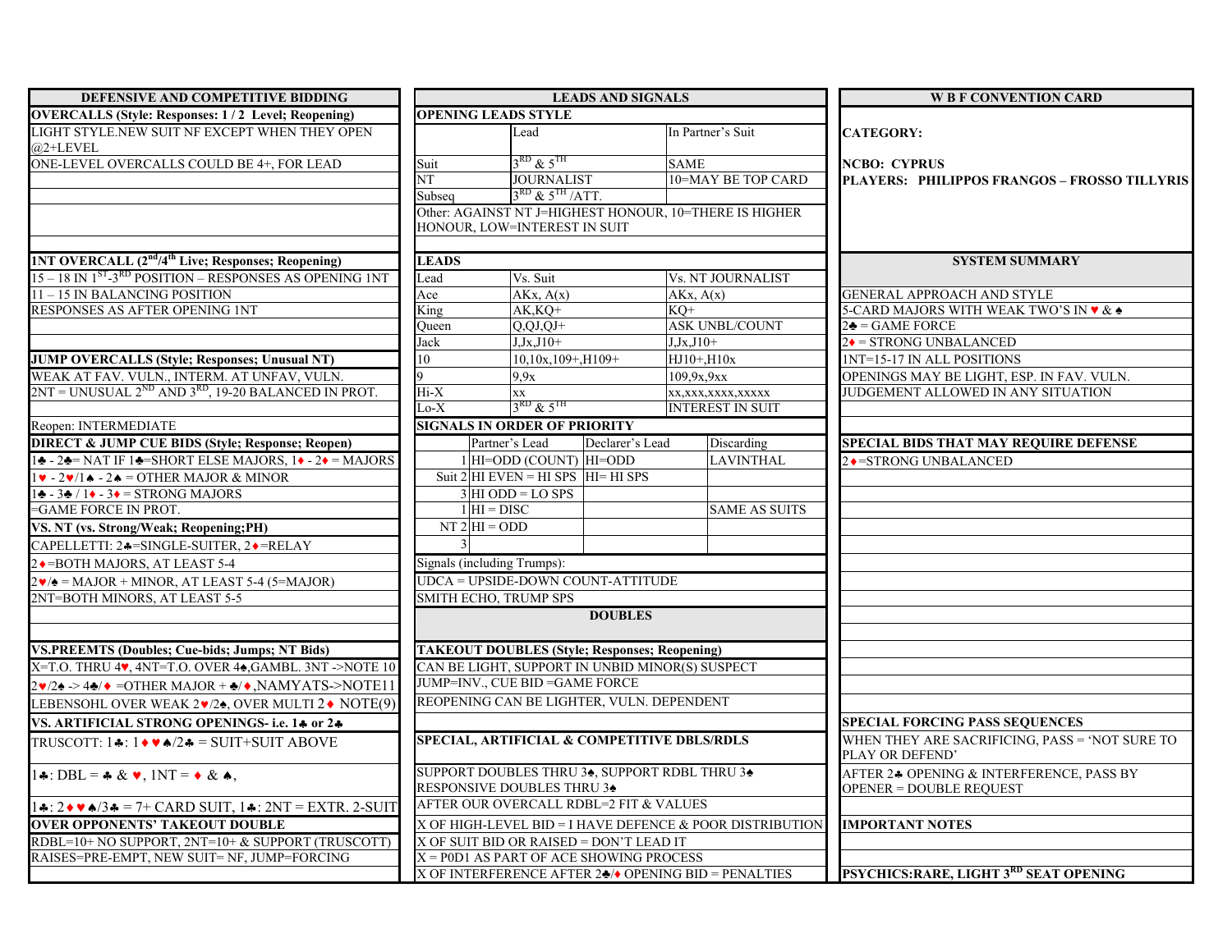| DEFENSIVE AND COMPETITIVE BIDDING                                                                           | <b>LEADS AND SIGNALS</b>                                                    |                                                      |                 |                                                                      | <b>W B F CONVENTION CARD</b>                                               |  |
|-------------------------------------------------------------------------------------------------------------|-----------------------------------------------------------------------------|------------------------------------------------------|-----------------|----------------------------------------------------------------------|----------------------------------------------------------------------------|--|
| <b>OVERCALLS (Style: Responses: 1/2 Level; Reopening)</b>                                                   | <b>OPENING LEADS STYLE</b>                                                  |                                                      |                 |                                                                      |                                                                            |  |
| LIGHT STYLE.NEW SUIT NF EXCEPT WHEN THEY OPEN<br>$@2+LEVEL$                                                 |                                                                             | Lead                                                 |                 | In Partner's Suit                                                    | <b>CATEGORY:</b>                                                           |  |
| ONE-LEVEL OVERCALLS COULD BE 4+, FOR LEAD                                                                   | Suit                                                                        | $3^{\text{RD}}$ & $5^{\text{TH}}$                    |                 | <b>SAME</b>                                                          | <b>NCBO: CYPRUS</b>                                                        |  |
|                                                                                                             | $\overline{\text{NT}}$                                                      | <b>JOURNALIST</b>                                    |                 | 10=MAY BE TOP CARD                                                   | PLAYERS: PHILIPPOS FRANGOS - FROSSO TILLYRIS                               |  |
|                                                                                                             | Subseq                                                                      | $3RD$ & $5TH$ /ATT.                                  |                 |                                                                      |                                                                            |  |
|                                                                                                             |                                                                             |                                                      |                 | Other: AGAINST NT J=HIGHEST HONOUR, 10=THERE IS HIGHER               |                                                                            |  |
|                                                                                                             |                                                                             | HONOUR, LOW=INTEREST IN SUIT                         |                 |                                                                      |                                                                            |  |
| <b>1NT OVERCALL (2<sup>nd</sup>/4<sup>th</sup> Live; Responses; Reopening)</b>                              | <b>LEADS</b>                                                                |                                                      |                 |                                                                      | <b>SYSTEM SUMMARY</b>                                                      |  |
| 15 - 18 IN 1 <sup>ST</sup> -3 <sup>RD</sup> POSITION - RESPONSES AS OPENING 1NT                             | Lead                                                                        | Vs. Suit                                             |                 | <b>Vs. NT JOURNALIST</b>                                             |                                                                            |  |
| 11-15 IN BALANCING POSITION                                                                                 | Ace                                                                         | AKx, A(x)                                            |                 | AKx, A(x)                                                            | <b>GENERAL APPROACH AND STYLE</b>                                          |  |
| RESPONSES AS AFTER OPENING 1NT                                                                              | King                                                                        | $AK$ <sub>,</sub> $KQ+$                              |                 | $KQ+$                                                                | 5-CARD MAJORS WITH WEAK TWO'S IN $\blacktriangledown\&\blacktriangle$      |  |
|                                                                                                             | Queen                                                                       | $Q, QJ, QJ+$                                         |                 | <b>ASK UNBL/COUNT</b>                                                | $2\clubsuit = GAME$ FORCE                                                  |  |
|                                                                                                             | Jack                                                                        | $J$ , $J$ x, $J$ 10+                                 |                 | $J$ , $J$ x, $J$ 10+                                                 | $2\bullet$ = STRONG UNBALANCED                                             |  |
| <b>JUMP OVERCALLS (Style; Responses; Unusual NT)</b>                                                        | 10                                                                          | 10,10x,109+,H109+                                    |                 | HJ10+, H10x                                                          | 1NT=15-17 IN ALL POSITIONS                                                 |  |
| WEAK AT FAV. VULN., INTERM. AT UNFAV, VULN.                                                                 | 9                                                                           | 9,9x                                                 |                 | 109,9x,9xx                                                           | OPENINGS MAY BE LIGHT, ESP. IN FAV. VULN.                                  |  |
| $2NT = UNUSUAL$ $2^{ND}$ AND $3^{RD}$ , 19-20 BALANCED IN PROT.                                             | Hi-X                                                                        | XX                                                   |                 | xx,xxx,xxxx,xxxxx                                                    | JUDGEMENT ALLOWED IN ANY SITUATION                                         |  |
|                                                                                                             | $Lo-X$                                                                      | $3^{\text{RD}}$ & $5^{\text{TH}}$                    |                 | <b>INTEREST IN SUIT</b>                                              |                                                                            |  |
| Reopen: INTERMEDIATE                                                                                        |                                                                             | <b>SIGNALS IN ORDER OF PRIORITY</b>                  |                 |                                                                      |                                                                            |  |
| <b>DIRECT &amp; JUMP CUE BIDS (Style; Response; Reopen)</b>                                                 |                                                                             | Partner's Lead                                       | Declarer's Lead | Discarding                                                           | <b>SPECIAL BIDS THAT MAY REQUIRE DEFENSE</b>                               |  |
| $1\div -2\div =$ NAT IF $1\div =$ SHORT ELSE MAJORS, $1\div -2\div =$ MAJORS                                |                                                                             | 1 HI=ODD (COUNT) HI=ODD                              |                 | <b>LAVINTHAL</b>                                                     | 2◆ = STRONG UNBALANCED                                                     |  |
| $1\blacktriangleright -2\blacktriangleright/1\blacktriangle -2\blacktriangle =$ OTHER MAJOR & MINOR         |                                                                             | Suit $2$ HI EVEN = HI SPS HI= HI SPS                 |                 |                                                                      |                                                                            |  |
| $1\blacktriangleright -3\blacktriangleright /1\blacktriangleright -3\blacktriangleright =$ STRONG MAJORS    |                                                                             | $3$ HI ODD = LO SPS                                  |                 |                                                                      |                                                                            |  |
| =GAME FORCE IN PROT.                                                                                        |                                                                             | $1$ HI = DISC                                        |                 | <b>SAME AS SUITS</b>                                                 |                                                                            |  |
| VS. NT (vs. Strong/Weak; Reopening; PH)                                                                     |                                                                             | $NT 2 HI = ODD$                                      |                 |                                                                      |                                                                            |  |
| CAPELLETTI: 24=SINGLE-SUITER, 2+=RELAY                                                                      |                                                                             |                                                      |                 |                                                                      |                                                                            |  |
| 2 • = BOTH MAJORS, AT LEAST 5-4                                                                             |                                                                             | Signals (including Trumps):                          |                 |                                                                      |                                                                            |  |
| $2\blacktriangledown/\blacktriangle =$ MAJOR + MINOR, AT LEAST 5-4 (5=MAJOR)                                |                                                                             | UDCA = UPSIDE-DOWN COUNT-ATTITUDE                    |                 |                                                                      |                                                                            |  |
| 2NT=BOTH MINORS, AT LEAST 5-5                                                                               |                                                                             | SMITH ECHO, TRUMP SPS                                |                 |                                                                      |                                                                            |  |
|                                                                                                             |                                                                             |                                                      | <b>DOUBLES</b>  |                                                                      |                                                                            |  |
| <b>VS.PREEMTS (Doubles; Cue-bids; Jumps; NT Bids)</b>                                                       |                                                                             | <b>TAKEOUT DOUBLES (Style; Responses; Reopening)</b> |                 |                                                                      |                                                                            |  |
| X=T.O. THRU 4V, 4NT=T.O. OVER 4A, GAMBL. 3NT ->NOTE 10                                                      |                                                                             | CAN BE LIGHT, SUPPORT IN UNBID MINOR(S) SUSPECT      |                 |                                                                      |                                                                            |  |
| $2\cdot/2$ > 4 $\cdot$ = OTHER MAJOR + $\cdot/ \cdot$ , NAMYATS->NOTE11                                     |                                                                             | JUMP=INV., CUE BID =GAME FORCE                       |                 |                                                                      |                                                                            |  |
| LEBENSOHL OVER WEAK 2v/2t, OVER MULTI 2◆ NOTE(9)                                                            |                                                                             | REOPENING CAN BE LIGHTER, VULN. DEPENDENT            |                 |                                                                      |                                                                            |  |
| VS. ARTIFICIAL STRONG OPENINGS- i.e. 14 or 24                                                               |                                                                             |                                                      |                 |                                                                      | <b>SPECIAL FORCING PASS SEQUENCES</b>                                      |  |
| TRUSCOTT: $1 \cdot 1 \cdot 1 \cdot 2 \cdot 5 =$ SUIT+SUIT ABOVE                                             | SPECIAL, ARTIFICIAL & COMPETITIVE DBLS/RDLS                                 |                                                      |                 |                                                                      | WHEN THEY ARE SACRIFICING, PASS = 'NOT SURE TO<br>PLAY OR DEFEND'          |  |
| $1\clubsuit$ : DBL = $\clubsuit \& \vee$ , 1NT = $\lozenge \& \spadesuit$ ,                                 | SUPPORT DOUBLES THRU 34, SUPPORT RDBL THRU 34<br>RESPONSIVE DOUBLES THRU 34 |                                                      |                 |                                                                      | AFTER 24 OPENING & INTERFERENCE, PASS BY<br><b>OPENER = DOUBLE REQUEST</b> |  |
| $1$ $\bullet$ : $2 \bullet \bullet$ $\bullet$ /3 $\bullet$ = 7+ CARD SUIT, $1 \bullet$ : 2NT = EXTR. 2-SUIT | AFTER OUR OVERCALL RDBL=2 FIT & VALUES                                      |                                                      |                 |                                                                      |                                                                            |  |
| <b>OVER OPPONENTS' TAKEOUT DOUBLE</b>                                                                       | X OF HIGH-LEVEL BID = I HAVE DEFENCE & POOR DISTRIBUTION                    |                                                      |                 |                                                                      | <b>IMPORTANT NOTES</b>                                                     |  |
| RDBL=10+ NO SUPPORT, 2NT=10+ & SUPPORT (TRUSCOTT)                                                           | X OF SUIT BID OR RAISED = DON'T LEAD IT                                     |                                                      |                 |                                                                      |                                                                            |  |
| RAISES=PRE-EMPT, NEW SUIT= NF, JUMP=FORCING                                                                 | X = P0D1 AS PART OF ACE SHOWING PROCESS                                     |                                                      |                 |                                                                      |                                                                            |  |
|                                                                                                             |                                                                             |                                                      |                 | X OF INTERFERENCE AFTER $2\clubsuit/\bullet$ OPENING BID = PENALTIES | PSYCHICS: RARE, LIGHT 3RD SEAT OPENING                                     |  |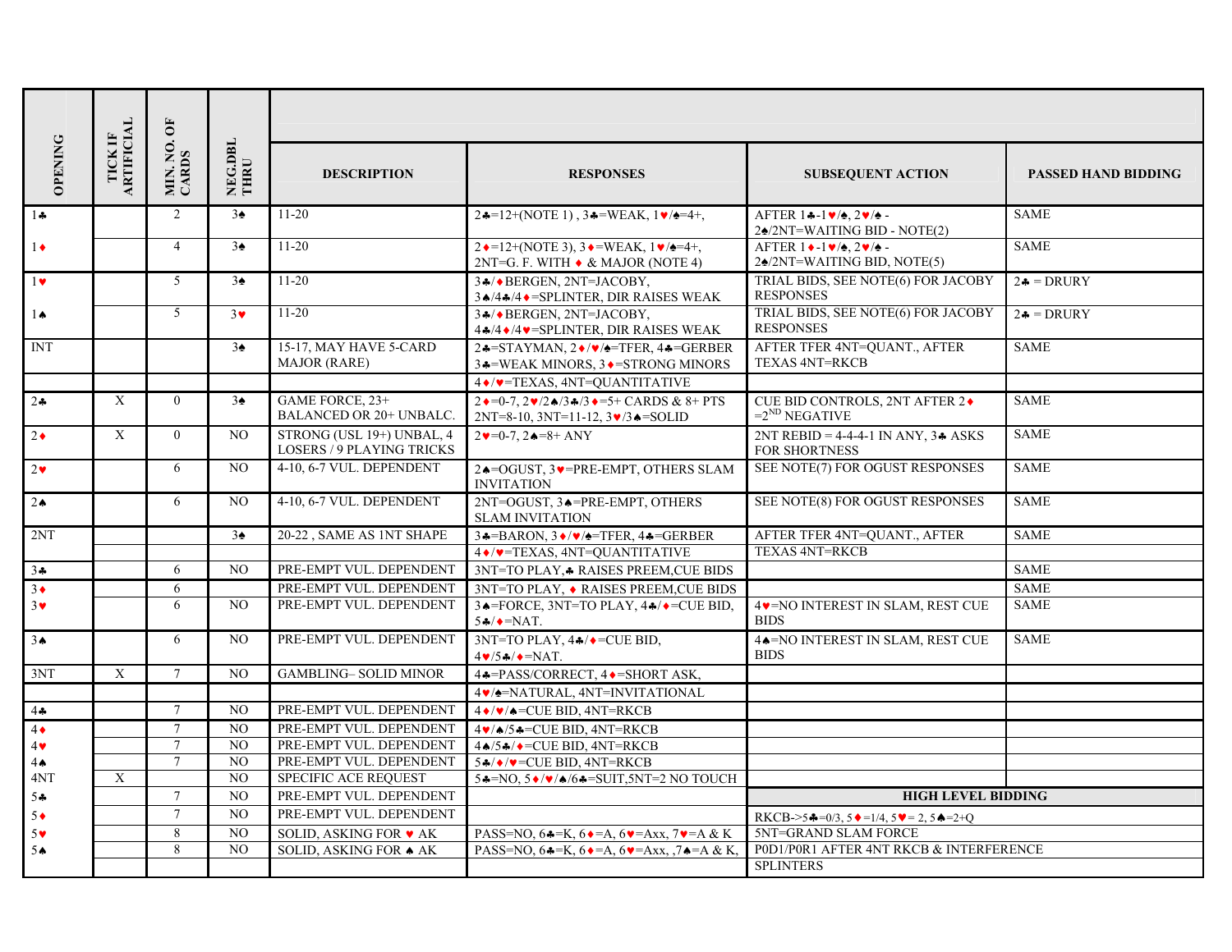|                |                                     | $\overline{\mathbf{C}}$ |                 |                                                               |                                                                                                                                                  |                                                                                       |                            |  |
|----------------|-------------------------------------|-------------------------|-----------------|---------------------------------------------------------------|--------------------------------------------------------------------------------------------------------------------------------------------------|---------------------------------------------------------------------------------------|----------------------------|--|
| <b>OPENING</b> | <b>ARTIFICIAL</b><br><b>TICK IF</b> | MIN.NO.                 | NEG.DBL<br>THRU | <b>DESCRIPTION</b>                                            | <b>RESPONSES</b>                                                                                                                                 | <b>SUBSEQUENT ACTION</b>                                                              | <b>PASSED HAND BIDDING</b> |  |
| $1 -$          |                                     | $\overline{2}$          | $3\spadesuit$   | $11 - 20$                                                     | $2*=12+(NOTE 1)$ , $3*=WEAK$ , $1\blacktriangledown \blacktriangle =4+,$                                                                         | AFTER $1 - 1 \times 2 \times 2$<br>$2\spadesuit$ /2NT=WAITING BID - NOTE(2)           | <b>SAME</b>                |  |
| $1\bullet$     |                                     | $\overline{4}$          | $3\spadesuit$   | $11 - 20$                                                     | $2 \cdot = 12 + (NOTE 3), 3 \cdot = WEAR, 1 \cdot \triangle = 4 +$<br>$2NT=G. F. WITH \rightarrow & MAJOR (NOTE 4)$                              | AFTER $1 \cdot -1 \cdot / \cdot$ , $2 \cdot / \cdot$ .<br>24/2NT=WAITING BID, NOTE(5) | <b>SAME</b>                |  |
| $1 \bullet$    |                                     | 5                       | $3\spadesuit$   | $11 - 20$                                                     | 34/+BERGEN, 2NT=JACOBY,<br>$3\bigtriangleup/4\bigtriangleup/4\bigtriangleup$ = SPLINTER, DIR RAISES WEAK                                         | TRIAL BIDS, SEE NOTE(6) FOR JACOBY<br><b>RESPONSES</b>                                | $2\clubsuit = DRURY$       |  |
| $1\spadesuit$  |                                     | $\mathfrak{H}$          | $3\bullet$      | $11 - 20$                                                     | 34/+BERGEN, 2NT=JACOBY,<br>$44/4$ $\blacktriangleright$ /4 $\blacktriangleright$ = SPLINTER, DIR RAISES WEAK                                     | TRIAL BIDS, SEE NOTE(6) FOR JACOBY<br><b>RESPONSES</b>                                | $2\clubsuit = DRURY$       |  |
| <b>INT</b>     |                                     |                         | $3\spadesuit$   | 15-17, MAY HAVE 5-CARD<br><b>MAJOR (RARE)</b>                 | $2*=STAYMAN, 2*/\blacktriangleright/2=TFER, 4*=GERBER$<br>3.4=WEAK MINORS, 3. ♦ = STRONG MINORS                                                  | AFTER TFER 4NT=QUANT., AFTER<br><b>TEXAS 4NT=RKCB</b>                                 | <b>SAME</b>                |  |
|                |                                     |                         |                 |                                                               | 4 */* = TEXAS, 4NT = QUANTITATIVE                                                                                                                |                                                                                       |                            |  |
| $2\cdot$       | $\mathbf{X}$                        | $\overline{0}$          | $3\spadesuit$   | GAME FORCE, 23+<br>BALANCED OR 20+ UNBALC.                    | $2 \cdot = 0.7$ , $2 \cdot \sqrt{2} \cdot 3 \cdot 3 \cdot 3 \cdot = 5 +$ CARDS & 8+ PTS<br>$2NT=8-10$ , $3NT=11-12$ , $3\vee/3\triangle = SOLID$ | CUE BID CONTROLS, 2NT AFTER 2♦<br>$=2^{ND}$ NEGATIVE                                  | <b>SAME</b>                |  |
| $2\bullet$     | $\mathbf{X}$                        | $\theta$                | N <sub>O</sub>  | STRONG (USL 19+) UNBAL, 4<br><b>LOSERS / 9 PLAYING TRICKS</b> | $2v=0-7$ , $2e=8+$ ANY                                                                                                                           | $2NT REBID = 4-4-4-1 IN ANY$ , $3A ASKS$<br>FOR SHORTNESS                             | <b>SAME</b>                |  |
| $2\bullet$     |                                     | 6                       | NO              | 4-10, 6-7 VUL. DEPENDENT                                      | 2↑=OGUST, 3▼=PRE-EMPT, OTHERS SLAM<br><b>INVITATION</b>                                                                                          | SEE NOTE(7) FOR OGUST RESPONSES                                                       | <b>SAME</b>                |  |
| $2 \triangle$  |                                     | 6                       | N <sub>O</sub>  | 4-10, 6-7 VUL. DEPENDENT                                      | 2NT=OGUST, 34=PRE-EMPT, OTHERS<br><b>SLAM INVITATION</b>                                                                                         | SEE NOTE(8) FOR OGUST RESPONSES                                                       | <b>SAME</b>                |  |
| 2NT            |                                     |                         | $3\spadesuit$   | 20-22, SAME AS 1NT SHAPE                                      | $3\clubsuit = BARON, 3\bullet/\bullet/=\text{TFER}, 4\clubsuit = \text{GERBER}$                                                                  | AFTER TFER 4NT=QUANT., AFTER                                                          | <b>SAME</b>                |  |
|                |                                     |                         |                 |                                                               | 4 */* = TEXAS, 4NT = QUANTITATIVE                                                                                                                | <b>TEXAS 4NT=RKCB</b>                                                                 |                            |  |
| $3 +$          |                                     | 6                       | N <sub>O</sub>  | PRE-EMPT VUL. DEPENDENT                                       | 3NT=TO PLAY, A RAISES PREEM, CUE BIDS                                                                                                            |                                                                                       | <b>SAME</b>                |  |
| $3\bullet$     |                                     | 6                       |                 | PRE-EMPT VUL. DEPENDENT                                       | 3NT=TO PLAY, ◆ RAISES PREEM, CUE BIDS                                                                                                            |                                                                                       | <b>SAME</b>                |  |
| $3\vee$        |                                     | 6                       | NO.             | PRE-EMPT VUL. DEPENDENT                                       | 34 = FORCE, 3NT=TO PLAY, 44/ $\bullet$ = CUE BID,<br>$5A/\rightarrow NAT$ .                                                                      | 4V=NO INTEREST IN SLAM, REST CUE<br><b>BIDS</b>                                       | <b>SAME</b>                |  |
| 3 <sub>•</sub> |                                     | 6                       | N <sub>O</sub>  | PRE-EMPT VUL. DEPENDENT                                       | 3NT=TO PLAY, $4\frac{4}{3}$ = CUE BID,<br>$4 \cdot 5 \cdot \cdot 7 = NAT$ .                                                                      | 4 <sup>*</sup> NO INTEREST IN SLAM, REST CUE<br><b>BIDS</b>                           | <b>SAME</b>                |  |
| 3NT            | $\mathbf{X}$                        | $\tau$                  | N <sub>O</sub>  | <b>GAMBLING- SOLID MINOR</b>                                  | 4♣ = PASS/CORRECT, 4♦ = SHORT ASK,                                                                                                               |                                                                                       |                            |  |
|                |                                     |                         |                 |                                                               | 4 / / = NATURAL, 4NT=INVITATIONAL                                                                                                                |                                                                                       |                            |  |
| 44             |                                     | $\tau$                  | NO              | PRE-EMPT VUL. DEPENDENT                                       | $4 \cdot / \cdot \cdot$ = CUE BID, 4NT=RKCB                                                                                                      |                                                                                       |                            |  |
| $4\bullet$     |                                     | $7\overline{ }$         | $_{\rm NO}$     | PRE-EMPT VUL. DEPENDENT                                       | $4\blacktriangledown/\blacktriangle/5$ $\blacktriangle$ = CUE BID, 4NT=RKCB                                                                      |                                                                                       |                            |  |
| $4\bullet$     |                                     | $7\overline{ }$         | NO              | PRE-EMPT VUL. DEPENDENT                                       | $4 \cdot 5 \cdot \cdot$ = CUE BID, 4NT=RKCB                                                                                                      |                                                                                       |                            |  |
| $4 \spadesuit$ |                                     | $\tau$                  | NO              | PRE-EMPT VUL. DEPENDENT                                       | $54$ / $\sqrt{\bullet}$ = CUE BID, 4NT=RKCB                                                                                                      |                                                                                       |                            |  |
| 4NT            | X                                   |                         | NO              | <b>SPECIFIC ACE REQUEST</b>                                   | $5*=NO, 5*/\sqrt{4/6}*=SUIT, 5NT=2 NO TOUCH$                                                                                                     |                                                                                       |                            |  |
| 54             |                                     | $\tau$                  | NO.             | PRE-EMPT VUL. DEPENDENT                                       |                                                                                                                                                  |                                                                                       | <b>HIGH LEVEL BIDDING</b>  |  |
| $5 \bullet$    |                                     | $\overline{7}$          | $_{\rm NO}$     | PRE-EMPT VUL. DEPENDENT                                       |                                                                                                                                                  | RKCB->54=0/3, 5 $\bullet$ =1/4, 5 $\bullet$ = 2, 5 $\bullet$ =2+Q                     |                            |  |
| $5\vee$        |                                     | 8                       | N <sub>O</sub>  | SOLID, ASKING FOR v AK                                        | PASS=NO, $64 = K$ , $64 = A$ , $64 = Axx$ , $74 = A & K$                                                                                         | 5NT=GRAND SLAM FORCE                                                                  |                            |  |
| 5 <sub>•</sub> |                                     | 8                       | N <sub>O</sub>  | SOLID, ASKING FOR A AK                                        | PASS=NO, $6\triangleleft K$ , $6\triangleleft = A$ , $6\nabla = Axx$ , $7\triangleleft = A \& K$ ,                                               | P0D1/P0R1 AFTER 4NT RKCB & INTERFERENCE                                               |                            |  |
|                |                                     |                         |                 |                                                               |                                                                                                                                                  | <b>SPLINTERS</b>                                                                      |                            |  |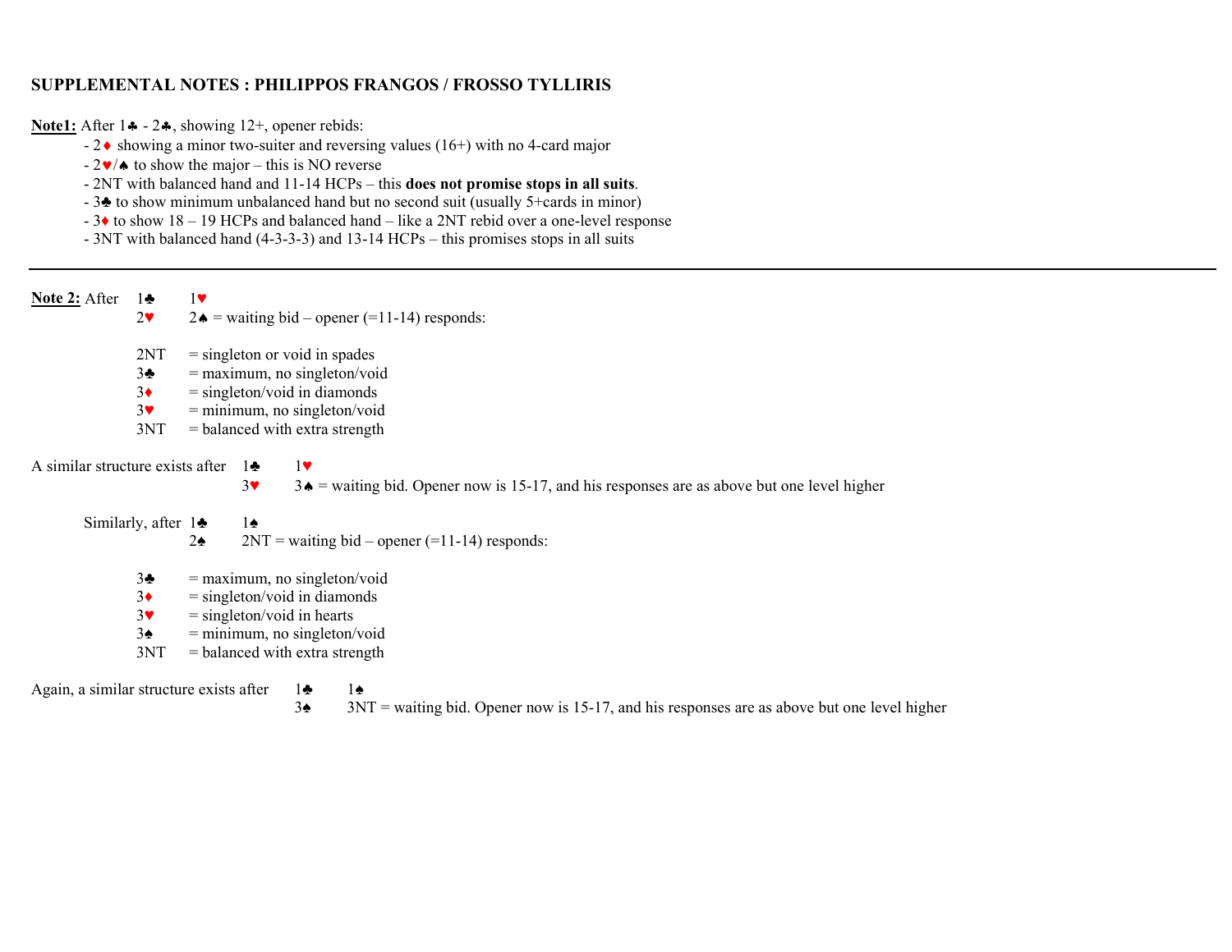## **SUPPLEMENTAL NOTES : PHILIPPOS FRANGOS / FROSSO TYLLIRIS**

**<u>Note1:</u>** After 1♣ - 2♣, showing 12<sup>+</sup>, opener rebids:

- $-2\blacklozenge$  showing a minor two-suiter and reversing values (16+) with no 4-card major
	- $-2\mathbf{v}/\mathbf{\bullet}$  to show the major this is NO reverse
	- 2NT with balanced hand and 11-14 HCPs this **does not promise stops in all suits**.
	- 3 ♣ to show minimum unbalanced hand but no second suit (usually 5+cards in minor)
	- 3 ♦ to show 18 19 HCPs and balanced hand like a 2NT rebid over a one-level response
	- 3NT with balanced hand (4-3-3-3) and 13-14 HCPs this promises stops in all suits

**Note 2:** After 1♣ 1 ♥

- 2♥2♦ = waiting bid – opener (=11-14) responds:
	- $2NT = singleton$  or void in spades
- 3 $3\blacktriangleright$  = maximum, no singleton/void
- 3 $3<sub>•</sub>$  $=$  singleton/void in diamonds
- 3♥ = minimum, no singleton/void
	- 3NT = balanced with extra strength

A similar structure exists after  $1\clubsuit$  1 ♥

3

♥3♠ = waiting bid. Opener now is 15-17, and his responses are as above but one level higher

Similarly, after  $1 \triangleq 1$ 

 2 $2\bullet$  2NT = waiting bid – opener (=11-14) responds:

♠

 3 $3\clubsuit$  = maximum, no singleton/void

♠

- 3♦= singleton/void in diamonds
- 3♥ $=$  singleton/void in hearts
	- $3\spadesuit$  = minimum, no singleton/void
	- $3NT = balanced with extra strength$

Again, a similar structure exists after 1 ♣ 13

♠ 3NT = waiting bid. Opener now is 15-17, and his responses are as above but one level higher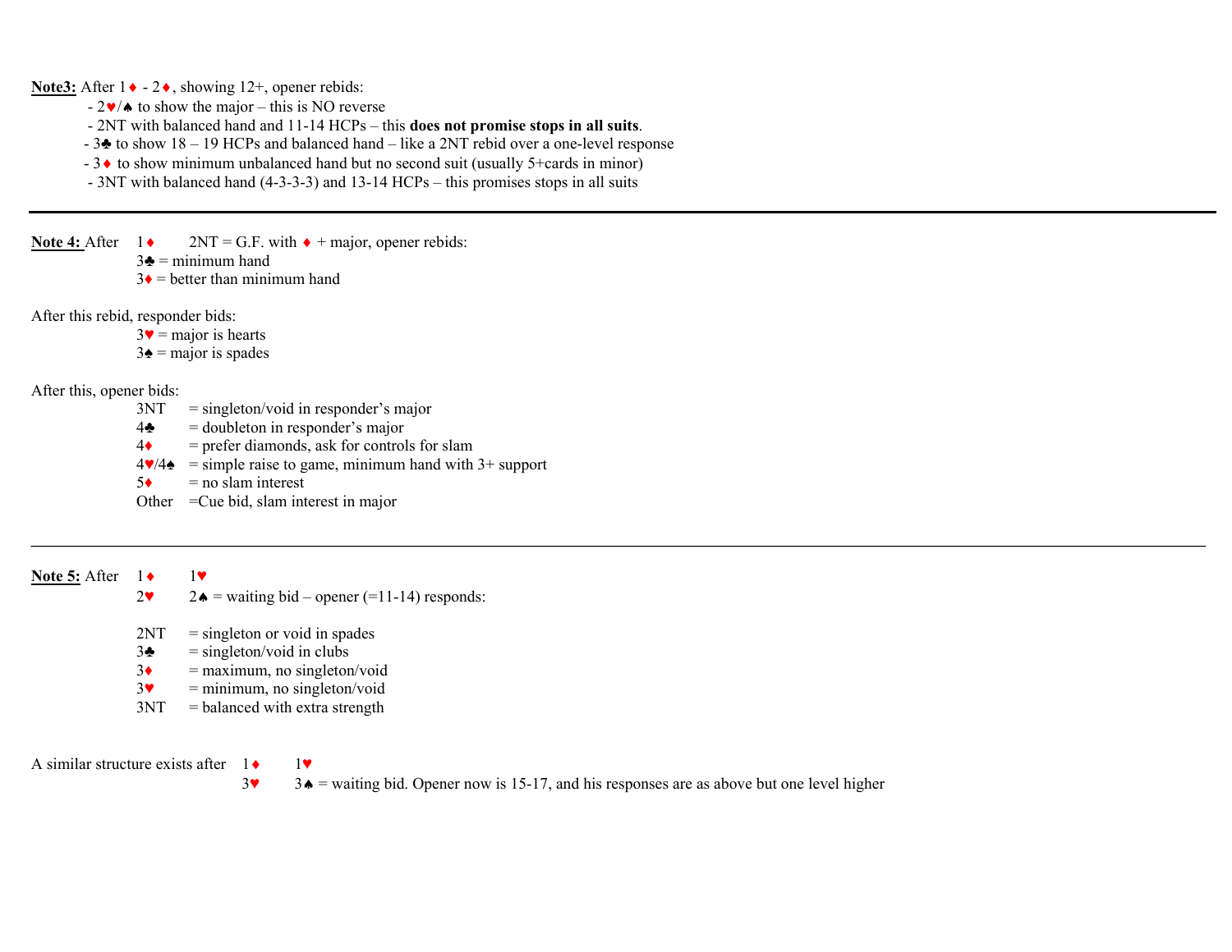**Note3:** After 1♦ - 2♦, showing 12+, opener rebids:

- $-2\n**v**/\triangle$  to show the major this is NO reverse
- 2NT with balanced hand and 11-14 HCPs this **does not promise stops in all suits**.
- 3♣ to show 18 19 HCPs and balanced hand like a 2NT rebid over a one-level response
- 3♦ to show minimum unbalanced hand but no second suit (usually 5+cards in minor)
- 3NT with balanced hand (4-3-3-3) and 13-14 HCPs this promises stops in all suits

**Note 4:** After  $1 \cdot 2NT = G.F.$  with  $\cdot +$  major, opener rebids:

 $3\bullet = \text{minimum hand}$ 

 $3\bullet$  = better than minimum hand

After this rebid, responder bids:

 $3\blacktriangledown$  = major is hearts

 $3\spadesuit$  = major is spades

After this, opener bids:

- $3NT = singleton/void in responder's major$
- $4\clubsuit$  = doubleton in responder's major
- $4\bullet$  = prefer diamonds, ask for controls for slam
- $4\blacktriangleright/4\blacktriangleright$  = simple raise to game, minimum hand with 3+ support
- $5 \leftarrow$  = no slam interest

Other =Cue bid, slam interest in major

**Note 5:** After 1 ◆ 1▼ 2♥ $2\bullet$  = waiting bid – opener (=11-14) responds:

- $2NT = singleton$  or void in spades
- $3\bullet$  = singleton/void in clubs
- 3♦= maximum, no singleton/void
- 3♥= minimum, no singleton/void
- $3NT = balanced with extra strength$

A similar structure exists after  $1 \bullet$  1

 $3\text{°}$ 3♠ = waiting bid. Opener now is 15-17, and his responses are as above but one level higher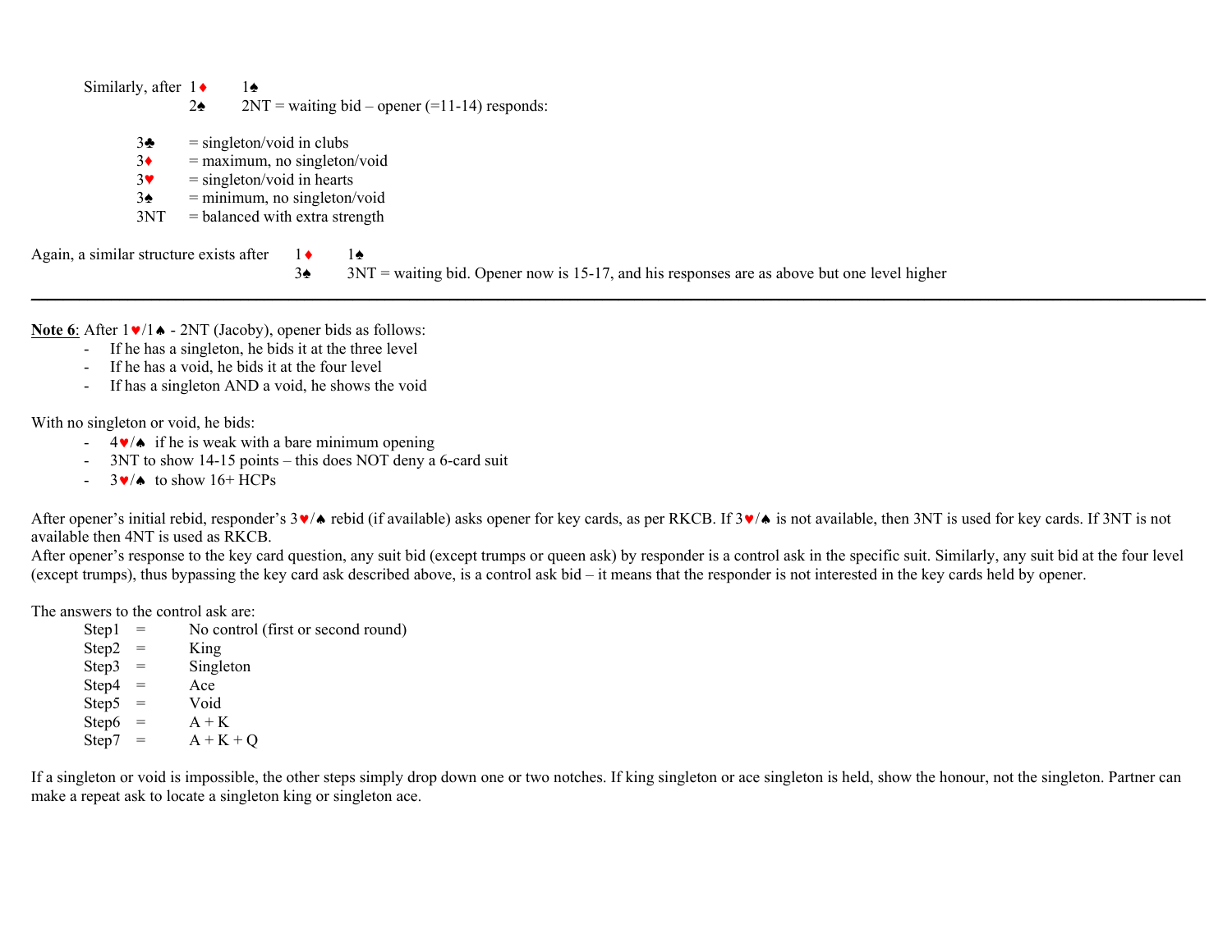$3\clubsuit$  = singleton/void in clubs 3♦ = maximum, no singleton/void 3♥ $=$  singleton/void in hearts  $3\blacktriangle$  = minimum, no singleton/void  $3NT = balanced with extra strength$ Again, a similar structure exists after  $1 \cdot 1 \cdot 1 \cdot 1$ <br>3↑ 3N

 $3NT$  = waiting bid. Opener now is 15-17, and his responses are as above but one level higher

**Note 6**: After 1♥/1♠ - 2NT (Jacoby), opener bids as follows:

- If he has a singleton, he bids it at the three level
- If he has a void, he bids it at the four level
- -If has a singleton AND a void, he shows the void

With no singleton or void, he bids:

- $-4\blacktriangleright$  if he is weak with a bare minimum opening
- 3NT to show 14-15 points this does NOT deny a 6-card suit
- $-$  3 $\vee$ / $\bullet$  to show 16+ HCPs

After opener's initial rebid, responder's 3∨∧ rebid (if available) asks opener for key cards, as per RKCB. If 3∨∧ is not available, then 3NT is used for key cards. If 3NT is not available then 4NT is used as RKCB.

After opener's response to the key card question, any suit bid (except trumps or queen ask) by responder is a control ask in the specific suit. Similarly, any suit bid at the four level (except trumps), thus bypassing the key card ask described above, is a control ask bid – it means that the responder is not interested in the key cards held by opener.

The answers to the control ask are:

| Step1      | $=$                               | No control (first or second round) |
|------------|-----------------------------------|------------------------------------|
| Step2      | $\hspace{1.6cm} = \hspace{1.6cm}$ | King                               |
| $Step3 =$  |                                   | Singleton                          |
| $Step 4 =$ |                                   | Ace                                |
| $Step 5 =$ |                                   | Void                               |
| $Step6 =$  |                                   | $A + K$                            |
| Step7      | $\overline{\phantom{a}}$ =        | $A + K + Q$                        |

If a singleton or void is impossible, the other steps simply drop down one or two notches. If king singleton or ace singleton is held, show the honour, not the singleton. Partner can make a repeat ask to locate a singleton king or singleton ace.

Similarly, after  $1 \cdot 1 \cdot 1 \cdot 1$ 

 $2\spadesuit$  2NT = waiting bid – opener (=11-14) responds: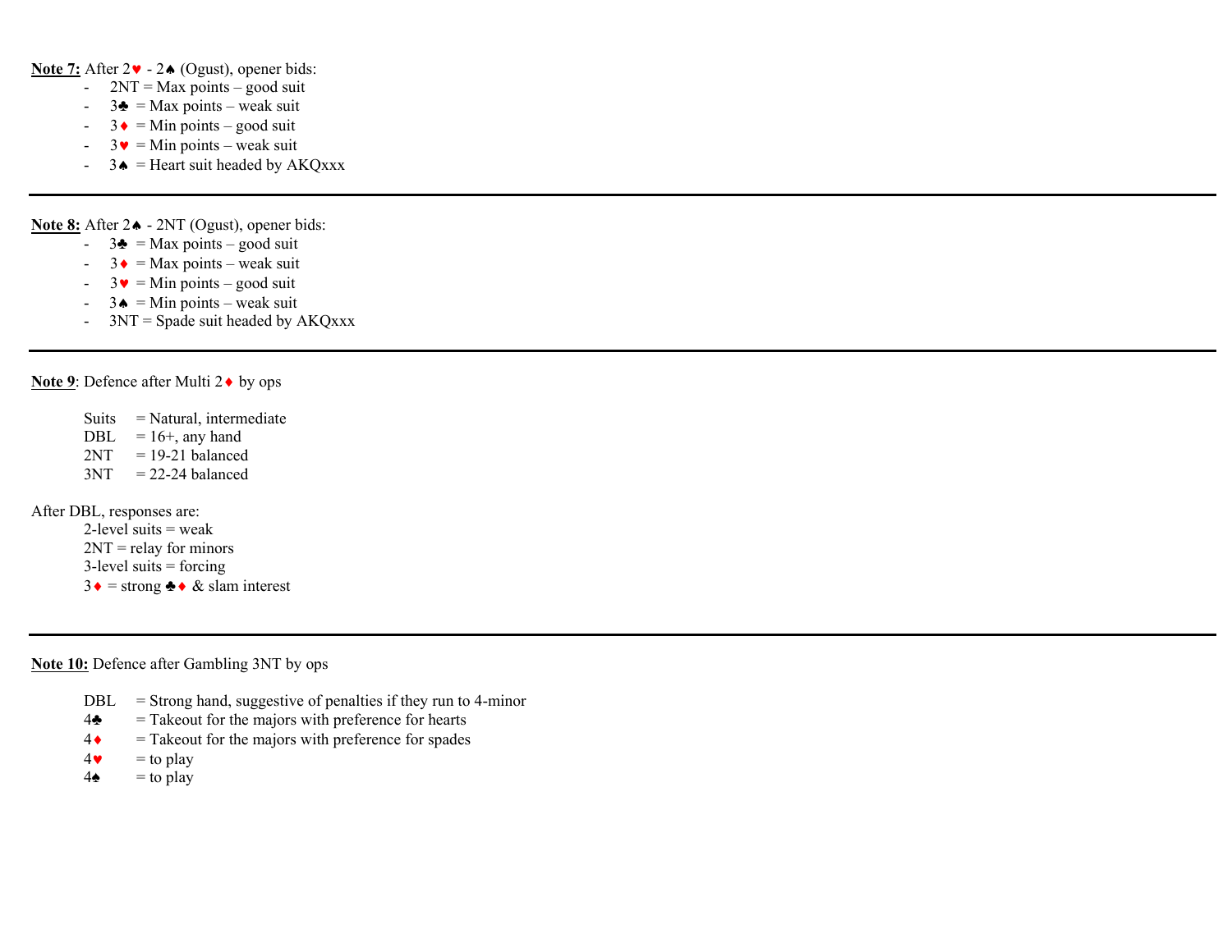**Note 7:** After 2♥ - 2♠ (Ogust), opener bids:

- - $2NT = Max points - good suit$
- - $3\blacktriangle$  = Max points – weak suit
- $3 \cdot =$  Min points good suit
- - $3 \bullet = \text{Min points} - \text{weak suit}$
- $-$  3 $\triangle$  = Heart suit headed by AKQxxx

**Note 8:** After 2♠ - 2NT (Ogust), opener bids:

- $-$  3 $\triangle$  = Max points good suit
- $3 \cdot =$  Max points weak suit
- - $3 \cdot \sqrt{ }$  = Min points – good suit
- $-$  3 $\triangle$  = Min points weak suit
- $3NT = Spade$  suit headed by  $AKQxxx$

**Note 9**: Defence after Multi 2♦ by ops

 Suits = Natural, intermediate DBL  $= 16 +$ , any hand  $2NT = 19-21$  balanced  $3NT = 22-24$  balanced

After DBL, responses are:

2-level suits  $=$  weak  $2NT =$  relay for minors  $3$ -level suits = forcing  $3 \cdot =$  strong  $\cdot \cdot \cdot \cdot \cdot$  & slam interest

**Note 10:** Defence after Gambling 3NT by ops

- $DBL =$  Strong hand, suggestive of penalties if they run to 4-minor
- $4\bullet$  = Takeout for the majors with preference for hearts
- 4♦= Takeout for the majors with preference for spades
- 4♥ $=$  to play
- $4\bullet$  = to play